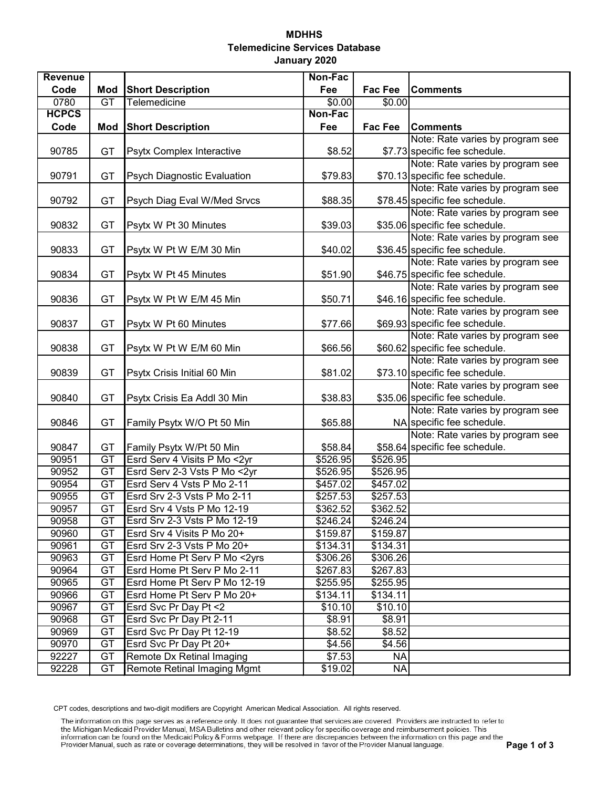## **MDHHS Telemedicine Services Database January 2020**

| <b>Revenue</b> |                 |                                    | Non-Fac  |           |                                  |
|----------------|-----------------|------------------------------------|----------|-----------|----------------------------------|
| Code           | <b>Mod</b>      | <b>Short Description</b>           | Fee      | Fac Fee   | <b>Comments</b>                  |
| 0780           | GT              | Telemedicine                       | \$0.00   | \$0.00    |                                  |
| <b>HCPCS</b>   |                 |                                    | Non-Fac  |           |                                  |
| Code           | Mod             | <b>Short Description</b>           | Fee      | Fac Fee   | <b>Comments</b>                  |
|                |                 |                                    |          |           | Note: Rate varies by program see |
| 90785          | GT              | Psytx Complex Interactive          | \$8.52   |           | \$7.73 specific fee schedule.    |
|                |                 |                                    |          |           | Note: Rate varies by program see |
| 90791          | GT              | <b>Psych Diagnostic Evaluation</b> | \$79.83  |           | \$70.13 specific fee schedule.   |
|                |                 |                                    |          |           | Note: Rate varies by program see |
| 90792          | GT              | Psych Diag Eval W/Med Srvcs        | \$88.35  |           | \$78.45 specific fee schedule.   |
|                |                 |                                    |          |           | Note: Rate varies by program see |
| 90832          | GT              | Psytx W Pt 30 Minutes              | \$39.03  |           | \$35.06 specific fee schedule.   |
|                |                 |                                    |          |           | Note: Rate varies by program see |
| 90833          | GT              | Psytx W Pt W E/M 30 Min            | \$40.02  |           | \$36.45 specific fee schedule.   |
|                |                 |                                    |          |           | Note: Rate varies by program see |
| 90834          | GT              | Psytx W Pt 45 Minutes              | \$51.90  |           | \$46.75 specific fee schedule.   |
|                |                 |                                    |          |           | Note: Rate varies by program see |
| 90836          | GT              | Psytx W Pt W E/M 45 Min            | \$50.71  |           | \$46.16 specific fee schedule.   |
|                |                 |                                    |          |           | Note: Rate varies by program see |
| 90837          | GT              | Psytx W Pt 60 Minutes              | \$77.66  |           | \$69.93 specific fee schedule.   |
|                |                 |                                    |          |           | Note: Rate varies by program see |
| 90838          | GT              | Psytx W Pt W E/M 60 Min            | \$66.56  |           | \$60.62 specific fee schedule.   |
|                |                 |                                    |          |           | Note: Rate varies by program see |
| 90839          | GT              | Psytx Crisis Initial 60 Min        | \$81.02  |           | \$73.10 specific fee schedule.   |
|                |                 |                                    |          |           | Note: Rate varies by program see |
| 90840          | GT              | Psytx Crisis Ea Addl 30 Min        | \$38.83  |           | \$35.06 specific fee schedule.   |
|                |                 |                                    |          |           | Note: Rate varies by program see |
| 90846          | GT              | Family Psytx W/O Pt 50 Min         | \$65.88  |           | NA specific fee schedule.        |
|                |                 |                                    |          |           | Note: Rate varies by program see |
| 90847          | GT              | Family Psytx W/Pt 50 Min           | \$58.84  |           | \$58.64 specific fee schedule.   |
| 90951          | GT              | Esrd Serv 4 Visits P Mo < 2yr      | \$526.95 | \$526.95  |                                  |
| 90952          | GT              | Esrd Serv 2-3 Vsts P Mo <2yr       | \$526.95 | \$526.95  |                                  |
| 90954          | GT              | Esrd Serv 4 Vsts P Mo 2-11         | \$457.02 | \$457.02  |                                  |
| 90955          | $\overline{GT}$ | Esrd Srv 2-3 Vsts P Mo 2-11        | \$257.53 | \$257.53  |                                  |
| 90957          | GT              | Esrd Srv 4 Vsts P Mo 12-19         | \$362.52 | \$362.52  |                                  |
| 90958          | GТ              | Esrd Srv 2-3 Vsts P Mo 12-19       | \$246.24 | \$246.24  |                                  |
| 90960          | GT              | Esrd Srv 4 Visits P Mo 20+         | \$159.87 | \$159.87  |                                  |
| 90961          | GT              | Esrd Srv 2-3 Vsts P Mo 20+         | \$134.31 | \$134.31  |                                  |
| 90963          | GT              | Esrd Home Pt Serv P Mo <2yrs       | \$306.26 | \$306.26  |                                  |
| 90964          | GT              | Esrd Home Pt Serv P Mo 2-11        | \$267.83 | \$267.83  |                                  |
| 90965          | GT              | Esrd Home Pt Serv P Mo 12-19       | \$255.95 | \$255.95  |                                  |
| 90966          | GT              | Esrd Home Pt Serv P Mo 20+         | \$134.11 | \$134.11  |                                  |
| 90967          | GT              | Esrd Svc Pr Day Pt <2              | \$10.10  | \$10.10   |                                  |
| 90968          | GT              | Esrd Svc Pr Day Pt 2-11            | \$8.91   | \$8.91    |                                  |
| 90969          | GT              | Esrd Svc Pr Day Pt 12-19           | \$8.52   | \$8.52    |                                  |
| 90970          | GT              | Esrd Svc Pr Day Pt 20+             | \$4.56   | \$4.56    |                                  |
| 92227          | GT              | Remote Dx Retinal Imaging          | \$7.53   | <b>NA</b> |                                  |
| 92228          | GT              | Remote Retinal Imaging Mgmt        | \$19.02  | <b>NA</b> |                                  |

CPT codes, descriptions and two-digit modifiers are Copyright American Medical Association. All rights reserved.<br>The information on this page serves as a reference only. It does not guarantee that services are covered. Pro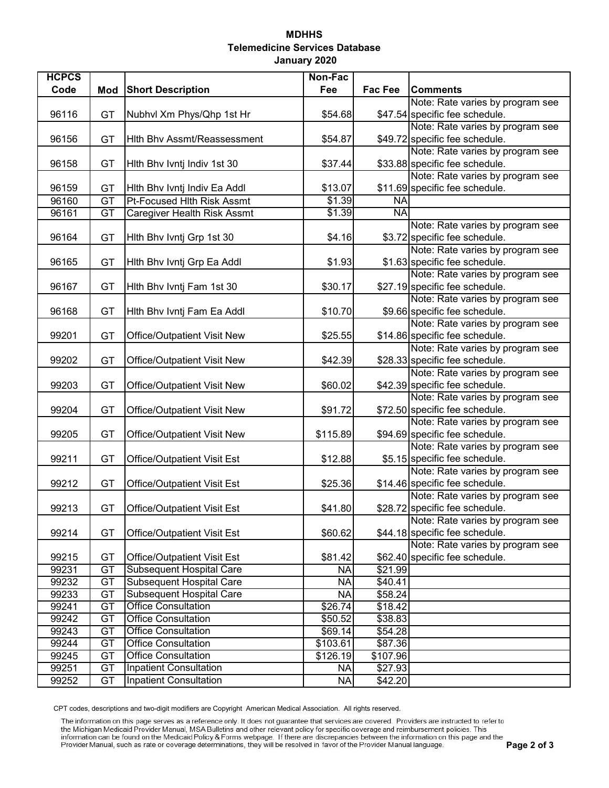## **MDHHS Telemedicine Services Database January 2020**

| <b>HCPCS</b>   |                 |                                                                       | Non-Fac              |                    |                                  |
|----------------|-----------------|-----------------------------------------------------------------------|----------------------|--------------------|----------------------------------|
| Code           | Mod             | <b>Short Description</b>                                              | Fee                  | Fac Fee            | <b>Comments</b>                  |
|                |                 |                                                                       |                      |                    | Note: Rate varies by program see |
| 96116          | GT              | Nubhvl Xm Phys/Qhp 1st Hr                                             | \$54.68              |                    | \$47.54 specific fee schedule.   |
|                |                 |                                                                       |                      |                    | Note: Rate varies by program see |
| 96156          | GT              | Hith Bhv Assmt/Reassessment                                           | \$54.87              |                    | \$49.72 specific fee schedule.   |
|                |                 |                                                                       |                      |                    | Note: Rate varies by program see |
| 96158          | GT              | Hith Bhv Ivntj Indiv 1st 30                                           | \$37.44              |                    | \$33.88 specific fee schedule.   |
|                |                 |                                                                       |                      |                    | Note: Rate varies by program see |
| 96159          | GT              | Hith Bhv Ivntj Indiv Ea Addl                                          | \$13.07              |                    | \$11.69 specific fee schedule.   |
| 96160          | $\overline{GT}$ | <b>Pt-Focused Hith Risk Assmt</b>                                     | \$1.39               | <b>NA</b>          |                                  |
| 96161          | GT              | <b>Caregiver Health Risk Assmt</b>                                    | \$1.39               | <b>NA</b>          |                                  |
|                |                 |                                                                       |                      |                    | Note: Rate varies by program see |
| 96164          | GT              | Hith Bhv Ivntj Grp 1st 30                                             | \$4.16               |                    | \$3.72 specific fee schedule.    |
|                |                 |                                                                       |                      |                    | Note: Rate varies by program see |
| 96165          | GT              | Hith Bhv Ivntj Grp Ea Addl                                            | \$1.93               |                    | \$1.63 specific fee schedule.    |
|                |                 |                                                                       |                      |                    | Note: Rate varies by program see |
| 96167          | GT              | Hith Bhv Ivntj Fam 1st 30                                             | \$30.17              |                    | \$27.19 specific fee schedule.   |
|                |                 |                                                                       |                      |                    | Note: Rate varies by program see |
| 96168          | GT              | Hith Bhv Ivntj Fam Ea Addl                                            | \$10.70              |                    | \$9.66 specific fee schedule.    |
|                |                 |                                                                       |                      |                    | Note: Rate varies by program see |
| 99201          | GT              | <b>Office/Outpatient Visit New</b>                                    | \$25.55              |                    | \$14.86 specific fee schedule.   |
|                |                 |                                                                       |                      |                    | Note: Rate varies by program see |
| 99202          | GT              | <b>Office/Outpatient Visit New</b>                                    | \$42.39              |                    | \$28.33 specific fee schedule.   |
|                |                 |                                                                       |                      |                    | Note: Rate varies by program see |
| 99203          | GT              | <b>Office/Outpatient Visit New</b>                                    | \$60.02              |                    | \$42.39 specific fee schedule.   |
|                |                 |                                                                       |                      |                    | Note: Rate varies by program see |
| 99204          | GT              | <b>Office/Outpatient Visit New</b>                                    | \$91.72              |                    | \$72.50 specific fee schedule.   |
|                |                 |                                                                       |                      |                    | Note: Rate varies by program see |
| 99205          | GT              | <b>Office/Outpatient Visit New</b>                                    | \$115.89             |                    | \$94.69 specific fee schedule.   |
|                |                 |                                                                       |                      |                    | Note: Rate varies by program see |
| 99211          | GT              | <b>Office/Outpatient Visit Est</b>                                    | \$12.88              |                    | \$5.15 specific fee schedule.    |
|                |                 |                                                                       |                      |                    | Note: Rate varies by program see |
| 99212          | GT              | <b>Office/Outpatient Visit Est</b>                                    | \$25.36              |                    | \$14.46 specific fee schedule.   |
|                |                 |                                                                       |                      |                    | Note: Rate varies by program see |
| 99213          | GT              | <b>Office/Outpatient Visit Est</b>                                    | \$41.80              |                    | \$28.72 specific fee schedule.   |
|                |                 |                                                                       |                      |                    | Note: Rate varies by program see |
| 99214          | GT              | <b>Office/Outpatient Visit Est</b>                                    | \$60.62              |                    | \$44.18 specific fee schedule.   |
|                |                 |                                                                       |                      |                    | Note: Rate varies by program see |
| 99215<br>99231 | GT<br>GT        | <b>Office/Outpatient Visit Est</b><br><b>Subsequent Hospital Care</b> | \$81.42              |                    | \$62.40 specific fee schedule.   |
|                | $\overline{GT}$ | <b>Subsequent Hospital Care</b>                                       | <b>NA</b>            | \$21.99            |                                  |
| 99232          | $\overline{GT}$ | <b>Subsequent Hospital Care</b>                                       | <b>NA</b>            | \$40.41<br>\$58.24 |                                  |
| 99233<br>99241 | $\overline{GT}$ | <b>Office Consultation</b>                                            | <b>NA</b><br>\$26.74 | \$18.42            |                                  |
| 99242          | $\overline{GT}$ | <b>Office Consultation</b>                                            | \$50.52              | \$38.83            |                                  |
| 99243          | $\overline{GT}$ | <b>Office Consultation</b>                                            | \$69.14              | \$54.28            |                                  |
| 99244          | $\overline{GT}$ | <b>Office Consultation</b>                                            | \$103.61             | \$87.36            |                                  |
| 99245          | $\overline{GT}$ | <b>Office Consultation</b>                                            | \$126.19             | \$107.96           |                                  |
| 99251          | GT              | <b>Inpatient Consultation</b>                                         | <b>NA</b>            | \$27.93            |                                  |
| 99252          | GT              | <b>Inpatient Consultation</b>                                         | <b>NA</b>            | \$42.20            |                                  |
|                |                 |                                                                       |                      |                    |                                  |

CPT codes, descriptions and two-digit modifiers are Copyright American Medical Association. All rights reserved.<br>The information on this page serves as a reference only. It does not guarantee that services are covered. Pro